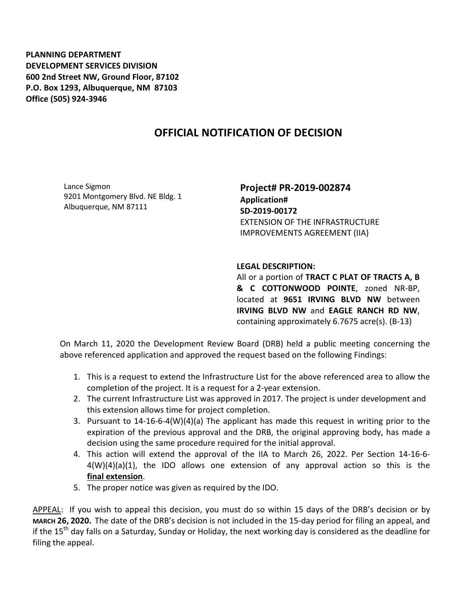**PLANNING DEPARTMENT DEVELOPMENT SERVICES DIVISION 600 2nd Street NW, Ground Floor, 87102 P.O. Box 1293, Albuquerque, NM 87103 Office (505) 924-3946** 

## **OFFICIAL NOTIFICATION OF DECISION**

Lance Sigmon 9201 Montgomery Blvd. NE Bldg. 1 Albuquerque, NM 87111

**Project# PR-2019-002874 Application# SD-2019-00172**  EXTENSION OF THE INFRASTRUCTURE IMPROVEMENTS AGREEMENT (IIA)

## **LEGAL DESCRIPTION:**

All or a portion of **TRACT C PLAT OF TRACTS A, B & C COTTONWOOD POINTE**, zoned NR-BP, located at **9651 IRVING BLVD NW** between **IRVING BLVD NW** and **EAGLE RANCH RD NW**, containing approximately 6.7675 acre(s). (B-13)

On March 11, 2020 the Development Review Board (DRB) held a public meeting concerning the above referenced application and approved the request based on the following Findings:

- 1. This is a request to extend the Infrastructure List for the above referenced area to allow the completion of the project. It is a request for a 2-year extension.
- 2. The current Infrastructure List was approved in 2017. The project is under development and this extension allows time for project completion.
- 3. Pursuant to 14-16-6-4(W)(4)(a) The applicant has made this request in writing prior to the expiration of the previous approval and the DRB, the original approving body, has made a decision using the same procedure required for the initial approval.
- 4. This action will extend the approval of the IIA to March 26, 2022. Per Section 14-16-6- 4(W)(4)(a)(1), the IDO allows one extension of any approval action so this is the **final extension**.
- 5. The proper notice was given as required by the IDO.

APPEAL: If you wish to appeal this decision, you must do so within 15 days of the DRB's decision or by **MARCH 26, 2020.** The date of the DRB's decision is not included in the 15-day period for filing an appeal, and if the 15<sup>th</sup> day falls on a Saturday, Sunday or Holiday, the next working day is considered as the deadline for filing the appeal.